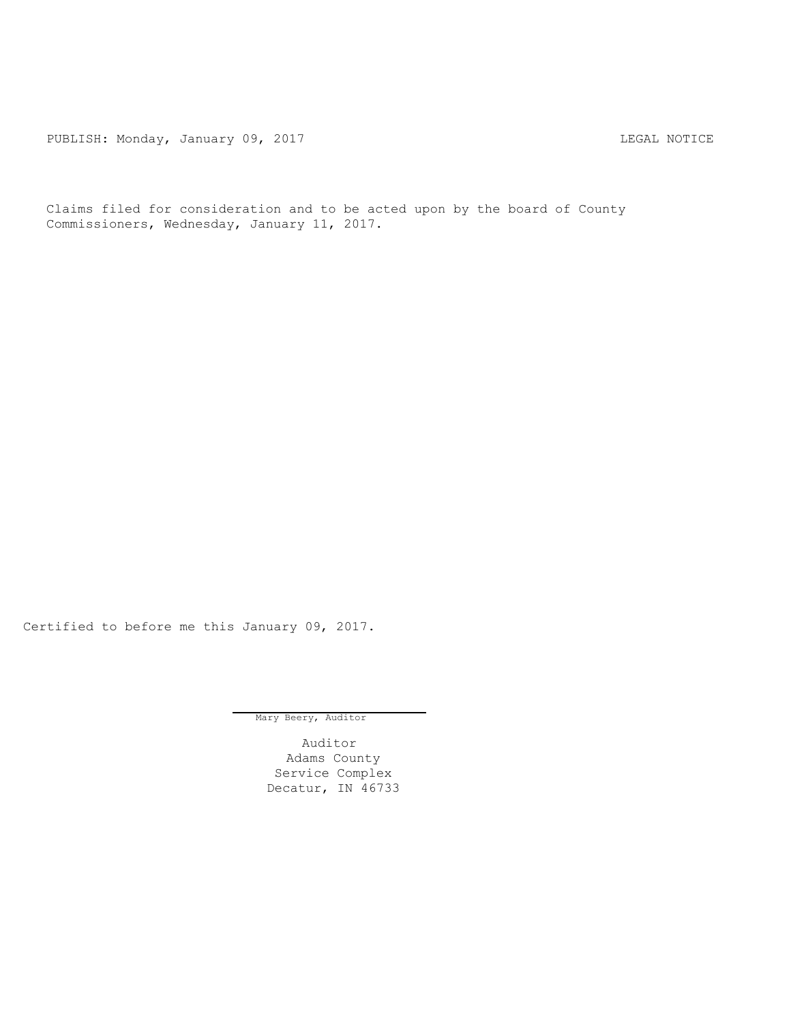PUBLISH: Monday, January 09, 2017 CHANGER CONSTRUCTER CONTROL CONTROL PUBLISH: MOTICE

Claims filed for consideration and to be acted upon by the board of County Commissioners, Wednesday, January 11, 2017.

Certified to before me this January 09, 2017.

Mary Beery, Auditor

Auditor Adams County Service Complex Decatur, IN 46733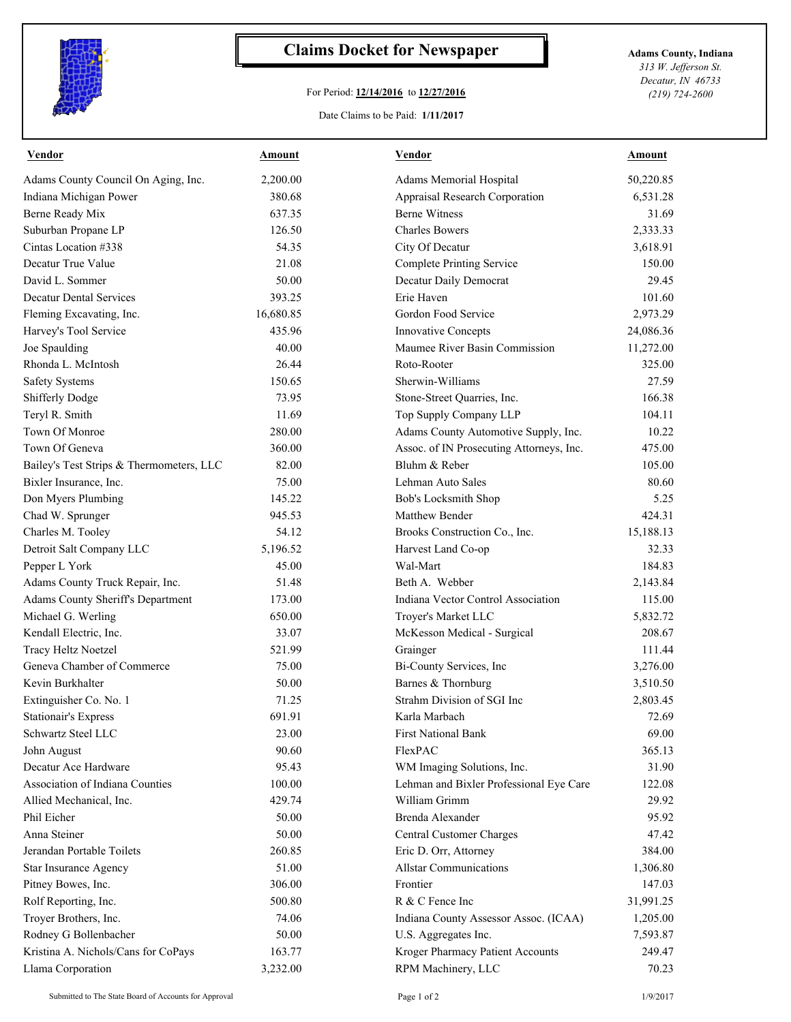

## **Claims Docket for Newspaper Adams County, Indiana**

## For Period: **12/14/2016** to **12/27/2016**

*313 W. Jefferson St. Decatur, IN 46733 (219) 724-2600*

Date Claims to be Paid: **1/11/2017**

| <b>Vendor</b>                            | <b>Amount</b> | <b>Vendor</b>                            | <b>Amount</b> |
|------------------------------------------|---------------|------------------------------------------|---------------|
| Adams County Council On Aging, Inc.      | 2,200.00      | Adams Memorial Hospital                  | 50,220.85     |
| Indiana Michigan Power                   | 380.68        | Appraisal Research Corporation           | 6,531.28      |
| Berne Ready Mix                          | 637.35        | <b>Berne Witness</b>                     | 31.69         |
| Suburban Propane LP                      | 126.50        | <b>Charles Bowers</b>                    | 2,333.33      |
| Cintas Location #338                     | 54.35         | City Of Decatur                          | 3,618.91      |
| Decatur True Value                       | 21.08         | Complete Printing Service                | 150.00        |
| David L. Sommer                          | 50.00         | Decatur Daily Democrat                   | 29.45         |
| <b>Decatur Dental Services</b>           | 393.25        | Erie Haven                               | 101.60        |
| Fleming Excavating, Inc.                 | 16,680.85     | Gordon Food Service                      | 2,973.29      |
| Harvey's Tool Service                    | 435.96        | Innovative Concepts                      | 24,086.36     |
| Joe Spaulding                            | 40.00         | Maumee River Basin Commission            | 11,272.00     |
| Rhonda L. McIntosh                       | 26.44         | Roto-Rooter                              | 325.00        |
| <b>Safety Systems</b>                    | 150.65        | Sherwin-Williams                         | 27.59         |
| Shifferly Dodge                          | 73.95         | Stone-Street Quarries, Inc.              | 166.38        |
| Teryl R. Smith                           | 11.69         | Top Supply Company LLP                   | 104.11        |
| Town Of Monroe                           | 280.00        | Adams County Automotive Supply, Inc.     | 10.22         |
| Town Of Geneva                           | 360.00        | Assoc. of IN Prosecuting Attorneys, Inc. | 475.00        |
| Bailey's Test Strips & Thermometers, LLC | 82.00         | Bluhm & Reber                            | 105.00        |
| Bixler Insurance, Inc.                   | 75.00         | Lehman Auto Sales                        | 80.60         |
| Don Myers Plumbing                       | 145.22        | Bob's Locksmith Shop                     | 5.25          |
| Chad W. Sprunger                         | 945.53        | Matthew Bender                           | 424.31        |
| Charles M. Tooley                        | 54.12         | Brooks Construction Co., Inc.            | 15,188.13     |
| Detroit Salt Company LLC                 | 5,196.52      | Harvest Land Co-op                       | 32.33         |
| Pepper L York                            | 45.00         | Wal-Mart                                 | 184.83        |
| Adams County Truck Repair, Inc.          | 51.48         | Beth A. Webber                           | 2,143.84      |
| Adams County Sheriff's Department        | 173.00        | Indiana Vector Control Association       | 115.00        |
| Michael G. Werling                       | 650.00        | Troyer's Market LLC                      | 5,832.72      |
| Kendall Electric, Inc.                   | 33.07         | McKesson Medical - Surgical              | 208.67        |
| Tracy Heltz Noetzel                      | 521.99        | Grainger                                 | 111.44        |
| Geneva Chamber of Commerce               | 75.00         | Bi-County Services, Inc                  | 3,276.00      |
| Kevin Burkhalter                         | 50.00         | Barnes & Thornburg                       | 3,510.50      |
| Extinguisher Co. No. 1                   | 71.25         | Strahm Division of SGI Inc               | 2,803.45      |
| <b>Stationair's Express</b>              | 691.91        | Karla Marbach                            | 72.69         |
| Schwartz Steel LLC                       | 23.00         | <b>First National Bank</b>               | 69.00         |
| John August                              | 90.60         | FlexPAC                                  | 365.13        |
| Decatur Ace Hardware                     | 95.43         | WM Imaging Solutions, Inc.               | 31.90         |
| Association of Indiana Counties          | 100.00        | Lehman and Bixler Professional Eye Care  | 122.08        |
| Allied Mechanical, Inc.                  | 429.74        | William Grimm                            | 29.92         |
| Phil Eicher                              | 50.00         | Brenda Alexander                         | 95.92         |
| Anna Steiner                             | 50.00         | Central Customer Charges                 | 47.42         |
| Jerandan Portable Toilets                | 260.85        | Eric D. Orr, Attorney                    | 384.00        |
| Star Insurance Agency                    | 51.00         | <b>Allstar Communications</b>            | 1,306.80      |
| Pitney Bowes, Inc.                       | 306.00        | Frontier                                 | 147.03        |
| Rolf Reporting, Inc.                     | 500.80        | R & C Fence Inc                          | 31,991.25     |
| Troyer Brothers, Inc.                    | 74.06         | Indiana County Assessor Assoc. (ICAA)    | 1,205.00      |
| Rodney G Bollenbacher                    | 50.00         | U.S. Aggregates Inc.                     | 7,593.87      |
| Kristina A. Nichols/Cans for CoPays      | 163.77        | Kroger Pharmacy Patient Accounts         | 249.47        |
| Llama Corporation                        | 3,232.00      | RPM Machinery, LLC                       | 70.23         |